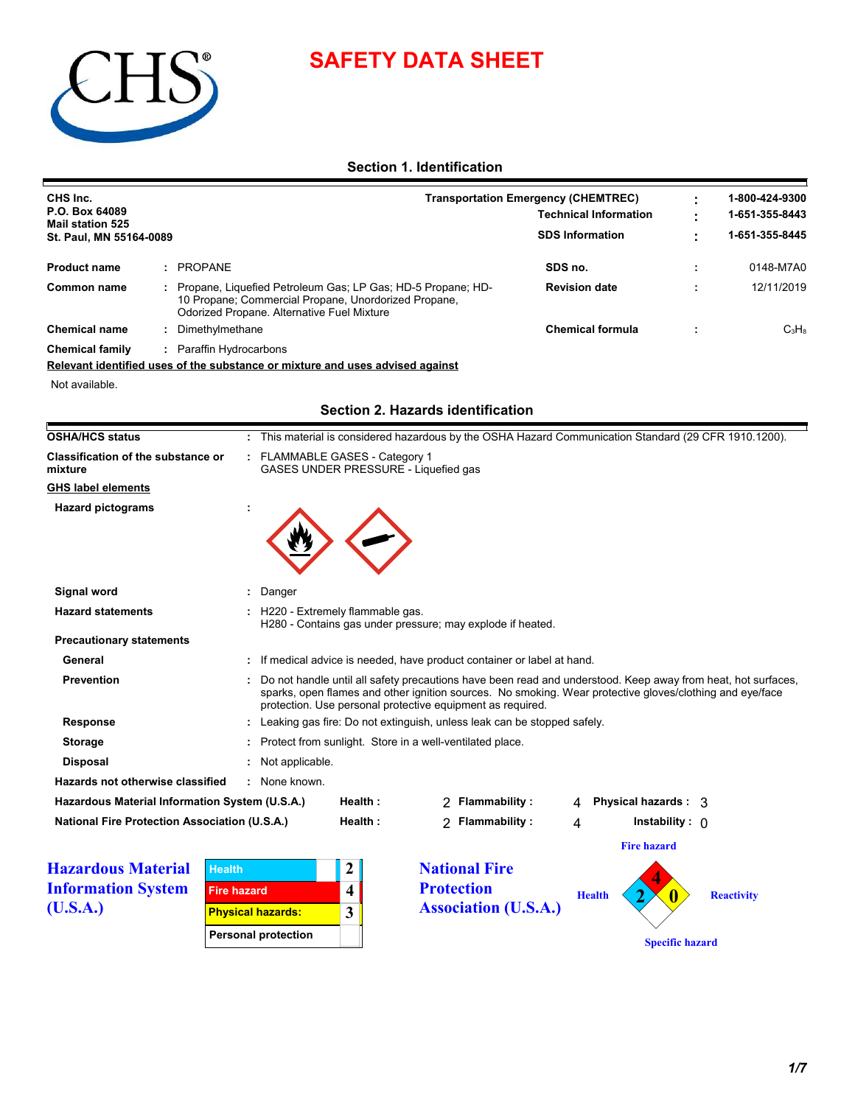# **SAFETY DATA SHEET**



# **Section 1. Identification**

| CHS Inc.                                  |  |                                                                                                                                                                   | <b>Transportation Emergency (CHEMTREC)</b> |  | 1-800-424-9300 |  |
|-------------------------------------------|--|-------------------------------------------------------------------------------------------------------------------------------------------------------------------|--------------------------------------------|--|----------------|--|
| P.O. Box 64089<br><b>Mail station 525</b> |  |                                                                                                                                                                   | <b>Technical Information</b>               |  | 1-651-355-8443 |  |
| St. Paul, MN 55164-0089                   |  |                                                                                                                                                                   | <b>SDS Information</b>                     |  | 1-651-355-8445 |  |
| <b>Product name</b>                       |  | PROPANE                                                                                                                                                           | SDS no.                                    |  | 0148-M7A0      |  |
| Common name                               |  | Propane, Liquefied Petroleum Gas; LP Gas; HD-5 Propane; HD-<br>10 Propane; Commercial Propane, Unordorized Propane,<br>Odorized Propane. Alternative Fuel Mixture | <b>Revision date</b>                       |  | 12/11/2019     |  |
| <b>Chemical name</b>                      |  | Dimethylmethane                                                                                                                                                   | <b>Chemical formula</b>                    |  | $C_3H_8$       |  |
| <b>Chemical family</b>                    |  | Paraffin Hydrocarbons                                                                                                                                             |                                            |  |                |  |

**Relevant identified uses of the substance or mixture and uses advised against**

Not available.

# **Section 2. Hazards identification**

| <b>OSHA/HCS status</b>                               | : This material is considered hazardous by the OSHA Hazard Communication Standard (29 CFR 1910.1200).                                                                                                                                                                                  |
|------------------------------------------------------|----------------------------------------------------------------------------------------------------------------------------------------------------------------------------------------------------------------------------------------------------------------------------------------|
| <b>Classification of the substance or</b><br>mixture | : FLAMMABLE GASES - Category 1<br>GASES UNDER PRESSURE - Liquefied gas                                                                                                                                                                                                                 |
| <b>GHS label elements</b>                            |                                                                                                                                                                                                                                                                                        |
| <b>Hazard pictograms</b>                             |                                                                                                                                                                                                                                                                                        |
| Signal word                                          | Danger                                                                                                                                                                                                                                                                                 |
| <b>Hazard statements</b>                             | : H220 - Extremely flammable gas.<br>H280 - Contains gas under pressure; may explode if heated.                                                                                                                                                                                        |
| <b>Precautionary statements</b>                      |                                                                                                                                                                                                                                                                                        |
| General                                              | : If medical advice is needed, have product container or label at hand.                                                                                                                                                                                                                |
| <b>Prevention</b>                                    | Do not handle until all safety precautions have been read and understood. Keep away from heat, hot surfaces,<br>sparks, open flames and other ignition sources. No smoking. Wear protective gloves/clothing and eye/face<br>protection. Use personal protective equipment as required. |
| <b>Response</b>                                      | : Leaking gas fire: Do not extinguish, unless leak can be stopped safely.                                                                                                                                                                                                              |
| <b>Storage</b>                                       | : Protect from sunlight. Store in a well-ventilated place.                                                                                                                                                                                                                             |
| <b>Disposal</b>                                      | : Not applicable.                                                                                                                                                                                                                                                                      |
| Hazards not otherwise classified                     | : None known.                                                                                                                                                                                                                                                                          |
| Hazardous Material Information System (U.S.A.)       | Flammability:<br>Physical hazards : 3<br>Health:<br>2<br>4                                                                                                                                                                                                                             |
|                                                      |                                                                                                                                                                                                                                                                                        |

**Hazardous Material Information System (U.S.A.)**

| <b>Health</b>              |  |
|----------------------------|--|
| <b>Fire hazard</b>         |  |
| <b>Physical hazards:</b>   |  |
| <b>Personal protection</b> |  |

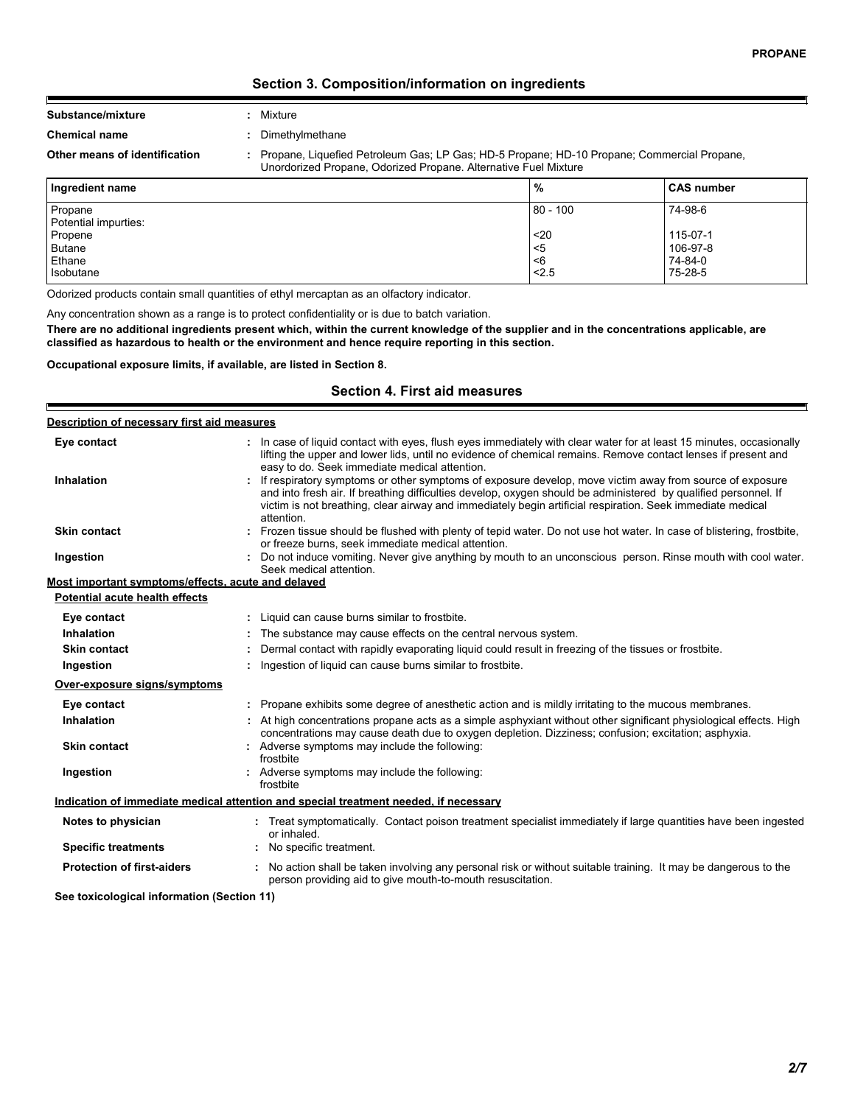# **Section 3. Composition/information on ingredients**

| Substance/mixture | Mixture |
|-------------------|---------|
|                   |         |

F

**Chemical name :** Dimethylmethane

**Other means of identification :** Propane, Liquefied Petroleum Gas; LP Gas; HD-5 Propane; HD-10 Propane; Commercial Propane, Unordorized Propane, Odorized Propane. Alternative Fuel Mixture

| Ingredient name                 | %          | <b>CAS number</b> |
|---------------------------------|------------|-------------------|
| Propane<br>Potential impurties: | $80 - 100$ | 74-98-6           |
| Propene                         | $20$       | 115-07-1          |
| <b>Butane</b>                   | <5         | 106-97-8          |
| Ethane                          | <6         | 74-84-0           |
| Isobutane                       | < 2.5      | 75-28-5           |

Odorized products contain small quantities of ethyl mercaptan as an olfactory indicator.

Any concentration shown as a range is to protect confidentiality or is due to batch variation.

**There are no additional ingredients present which, within the current knowledge of the supplier and in the concentrations applicable, are classified as hazardous to health or the environment and hence require reporting in this section.**

**Occupational exposure limits, if available, are listed in Section 8.**

# **Section 4. First aid measures**

| Description of necessary first aid measures        |                                                                                                                                                                                                                                                                                                                                                        |
|----------------------------------------------------|--------------------------------------------------------------------------------------------------------------------------------------------------------------------------------------------------------------------------------------------------------------------------------------------------------------------------------------------------------|
| Eye contact                                        | : In case of liquid contact with eyes, flush eyes immediately with clear water for at least 15 minutes, occasionally<br>lifting the upper and lower lids, until no evidence of chemical remains. Remove contact lenses if present and<br>easy to do. Seek immediate medical attention.                                                                 |
| <b>Inhalation</b>                                  | If respiratory symptoms or other symptoms of exposure develop, move victim away from source of exposure<br>and into fresh air. If breathing difficulties develop, oxygen should be administered by qualified personnel. If<br>victim is not breathing, clear airway and immediately begin artificial respiration. Seek immediate medical<br>attention. |
| <b>Skin contact</b>                                | : Frozen tissue should be flushed with plenty of tepid water. Do not use hot water. In case of blistering, frostbite,<br>or freeze burns, seek immediate medical attention.                                                                                                                                                                            |
| Ingestion                                          | Do not induce vomiting. Never give anything by mouth to an unconscious person. Rinse mouth with cool water.<br>Seek medical attention.                                                                                                                                                                                                                 |
| Most important symptoms/effects, acute and delayed |                                                                                                                                                                                                                                                                                                                                                        |
| Potential acute health effects                     |                                                                                                                                                                                                                                                                                                                                                        |
| Eye contact                                        | : Liquid can cause burns similar to frostbite.                                                                                                                                                                                                                                                                                                         |
| <b>Inhalation</b>                                  | The substance may cause effects on the central nervous system.                                                                                                                                                                                                                                                                                         |
| <b>Skin contact</b>                                | Dermal contact with rapidly evaporating liquid could result in freezing of the tissues or frostbite.                                                                                                                                                                                                                                                   |
| Ingestion                                          | Ingestion of liquid can cause burns similar to frostbite.                                                                                                                                                                                                                                                                                              |
| Over-exposure signs/symptoms                       |                                                                                                                                                                                                                                                                                                                                                        |
| Eye contact                                        | Propane exhibits some degree of anesthetic action and is mildly irritating to the mucous membranes.                                                                                                                                                                                                                                                    |
| <b>Inhalation</b>                                  | : At high concentrations propane acts as a simple asphyxiant without other significant physiological effects. High<br>concentrations may cause death due to oxygen depletion. Dizziness; confusion; excitation; asphyxia.                                                                                                                              |
| <b>Skin contact</b>                                | : Adverse symptoms may include the following:<br>frostbite                                                                                                                                                                                                                                                                                             |
| Ingestion                                          | : Adverse symptoms may include the following:<br>frostbite                                                                                                                                                                                                                                                                                             |
|                                                    | Indication of immediate medical attention and special treatment needed, if necessary                                                                                                                                                                                                                                                                   |
| Notes to physician                                 | : Treat symptomatically. Contact poison treatment specialist immediately if large quantities have been ingested<br>or inhaled.                                                                                                                                                                                                                         |
| <b>Specific treatments</b>                         | No specific treatment.                                                                                                                                                                                                                                                                                                                                 |
| <b>Protection of first-aiders</b>                  | : No action shall be taken involving any personal risk or without suitable training. It may be dangerous to the<br>person providing aid to give mouth-to-mouth resuscitation.                                                                                                                                                                          |
| See toxicological information (Section 11)         |                                                                                                                                                                                                                                                                                                                                                        |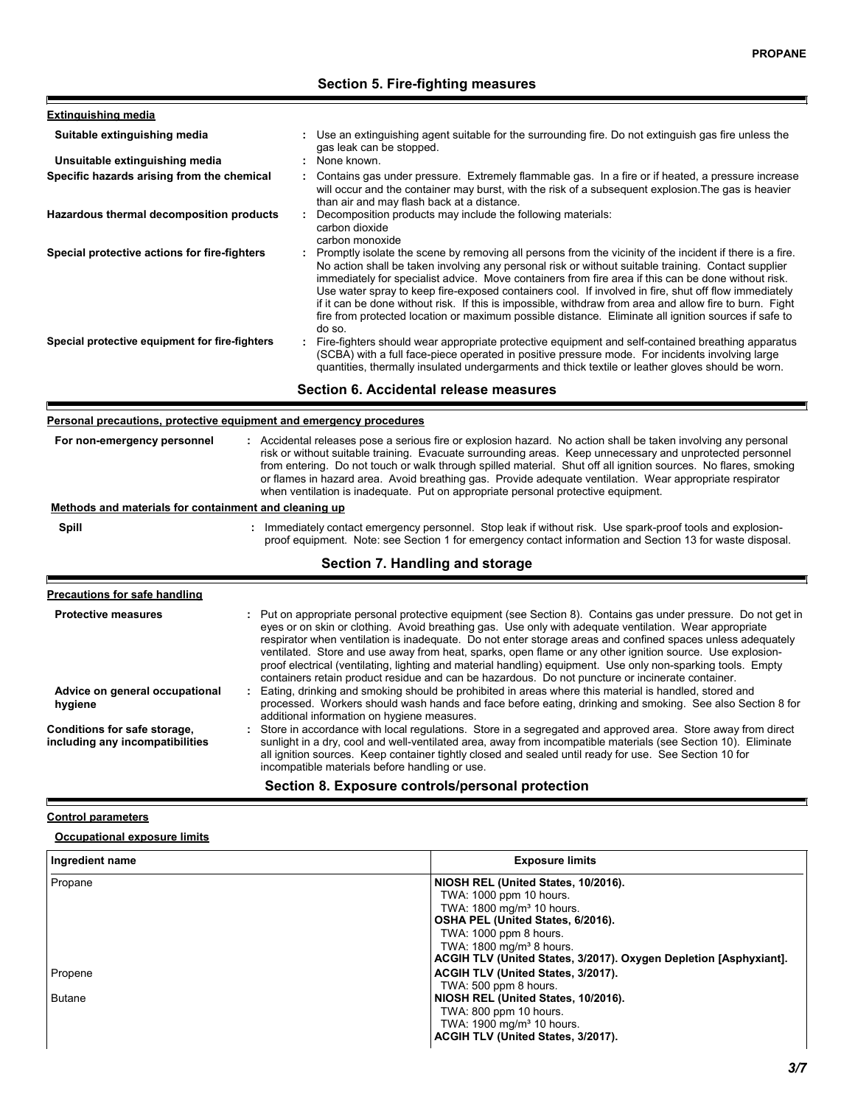# **Section 5. Fire-fighting measures**

| <b>Extinguishing media</b>                     |                                                                                                                                                                                                                                                                                                                                                                                                                                                                                                                                                                                                                                                               |
|------------------------------------------------|---------------------------------------------------------------------------------------------------------------------------------------------------------------------------------------------------------------------------------------------------------------------------------------------------------------------------------------------------------------------------------------------------------------------------------------------------------------------------------------------------------------------------------------------------------------------------------------------------------------------------------------------------------------|
| Suitable extinguishing media                   | Use an extinguishing agent suitable for the surrounding fire. Do not extinguish gas fire unless the<br>gas leak can be stopped.                                                                                                                                                                                                                                                                                                                                                                                                                                                                                                                               |
| Unsuitable extinguishing media                 | : None known.                                                                                                                                                                                                                                                                                                                                                                                                                                                                                                                                                                                                                                                 |
| Specific hazards arising from the chemical     | Contains gas under pressure. Extremely flammable gas. In a fire or if heated, a pressure increase<br>will occur and the container may burst, with the risk of a subsequent explosion. The gas is heavier<br>than air and may flash back at a distance.                                                                                                                                                                                                                                                                                                                                                                                                        |
| Hazardous thermal decomposition products       | Decomposition products may include the following materials:<br>carbon dioxide<br>carbon monoxide                                                                                                                                                                                                                                                                                                                                                                                                                                                                                                                                                              |
| Special protective actions for fire-fighters   | : Promptly isolate the scene by removing all persons from the vicinity of the incident if there is a fire.<br>No action shall be taken involving any personal risk or without suitable training. Contact supplier<br>immediately for specialist advice. Move containers from fire area if this can be done without risk.<br>Use water spray to keep fire-exposed containers cool. If involved in fire, shut off flow immediately<br>if it can be done without risk. If this is impossible, withdraw from area and allow fire to burn. Fight<br>fire from protected location or maximum possible distance. Eliminate all ignition sources if safe to<br>do so. |
| Special protective equipment for fire-fighters | Fire-fighters should wear appropriate protective equipment and self-contained breathing apparatus<br>(SCBA) with a full face-piece operated in positive pressure mode. For incidents involving large<br>quantities, thermally insulated undergarments and thick textile or leather gloves should be worn.                                                                                                                                                                                                                                                                                                                                                     |
|                                                | Section 6. Accidental release measures                                                                                                                                                                                                                                                                                                                                                                                                                                                                                                                                                                                                                        |

#### **Personal precautions, protective equipment and emergency procedures**

| For non-emergency personnel                           | : Accidental releases pose a serious fire or explosion hazard. No action shall be taken involving any personal<br>risk or without suitable training. Evacuate surrounding areas. Keep unnecessary and unprotected personnel<br>from entering. Do not touch or walk through spilled material. Shut off all ignition sources. No flares, smoking<br>or flames in hazard area. Avoid breathing gas. Provide adequate ventilation. Wear appropriate respirator<br>when ventilation is inadequate. Put on appropriate personal protective equipment. |
|-------------------------------------------------------|-------------------------------------------------------------------------------------------------------------------------------------------------------------------------------------------------------------------------------------------------------------------------------------------------------------------------------------------------------------------------------------------------------------------------------------------------------------------------------------------------------------------------------------------------|
| Methods and materials for containment and cleaning up |                                                                                                                                                                                                                                                                                                                                                                                                                                                                                                                                                 |
| Spill                                                 | Immediately contact emergency personnel. Stop leak if without risk. Use spark-proof tools and explosion-                                                                                                                                                                                                                                                                                                                                                                                                                                        |

**Section 7. Handling and storage**

proof equipment. Note: see Section 1 for emergency contact information and Section 13 for waste disposal.

F

ŀ

r

| Precautions for safe handling                                   |                                                                                                                                                                                                                                                                                                                                                                                                                                                                                                                                                                                                                                                                          |
|-----------------------------------------------------------------|--------------------------------------------------------------------------------------------------------------------------------------------------------------------------------------------------------------------------------------------------------------------------------------------------------------------------------------------------------------------------------------------------------------------------------------------------------------------------------------------------------------------------------------------------------------------------------------------------------------------------------------------------------------------------|
| <b>Protective measures</b>                                      | : Put on appropriate personal protective equipment (see Section 8). Contains gas under pressure. Do not get in<br>eyes or on skin or clothing. Avoid breathing gas. Use only with adequate ventilation. Wear appropriate<br>respirator when ventilation is inadequate. Do not enter storage areas and confined spaces unless adequately<br>ventilated. Store and use away from heat, sparks, open flame or any other ignition source. Use explosion-<br>proof electrical (ventilating, lighting and material handling) equipment. Use only non-sparking tools. Empty<br>containers retain product residue and can be hazardous. Do not puncture or incinerate container. |
| Advice on general occupational<br>hygiene                       | : Eating, drinking and smoking should be prohibited in areas where this material is handled, stored and<br>processed. Workers should wash hands and face before eating, drinking and smoking. See also Section 8 for<br>additional information on hygiene measures.                                                                                                                                                                                                                                                                                                                                                                                                      |
| Conditions for safe storage,<br>including any incompatibilities | : Store in accordance with local regulations. Store in a segregated and approved area. Store away from direct<br>sunlight in a dry, cool and well-ventilated area, away from incompatible materials (see Section 10). Eliminate<br>all ignition sources. Keep container tightly closed and sealed until ready for use. See Section 10 for<br>incompatible materials before handling or use.                                                                                                                                                                                                                                                                              |

| Section 8. Exposure controls/personal protection |  |
|--------------------------------------------------|--|
|--------------------------------------------------|--|

#### **Control parameters**

# **Occupational exposure limits**

| Ingredient name | <b>Exposure limits</b>                                            |
|-----------------|-------------------------------------------------------------------|
| Propane         | NIOSH REL (United States, 10/2016).                               |
|                 | TWA: 1000 ppm 10 hours.                                           |
|                 | TWA: 1800 mg/m <sup>3</sup> 10 hours.                             |
|                 | OSHA PEL (United States, 6/2016).                                 |
|                 | TWA: 1000 ppm 8 hours.                                            |
|                 | TWA: 1800 mg/m <sup>3</sup> 8 hours.                              |
|                 | ACGIH TLV (United States, 3/2017). Oxygen Depletion [Asphyxiant]. |
| Propene         | ACGIH TLV (United States, 3/2017).                                |
|                 | TWA: 500 ppm 8 hours.                                             |
| <b>Butane</b>   | NIOSH REL (United States, 10/2016).                               |
|                 | TWA: 800 ppm 10 hours.                                            |
|                 | TWA: 1900 mg/m <sup>3</sup> 10 hours.                             |
|                 | ACGIH TLV (United States, 3/2017).                                |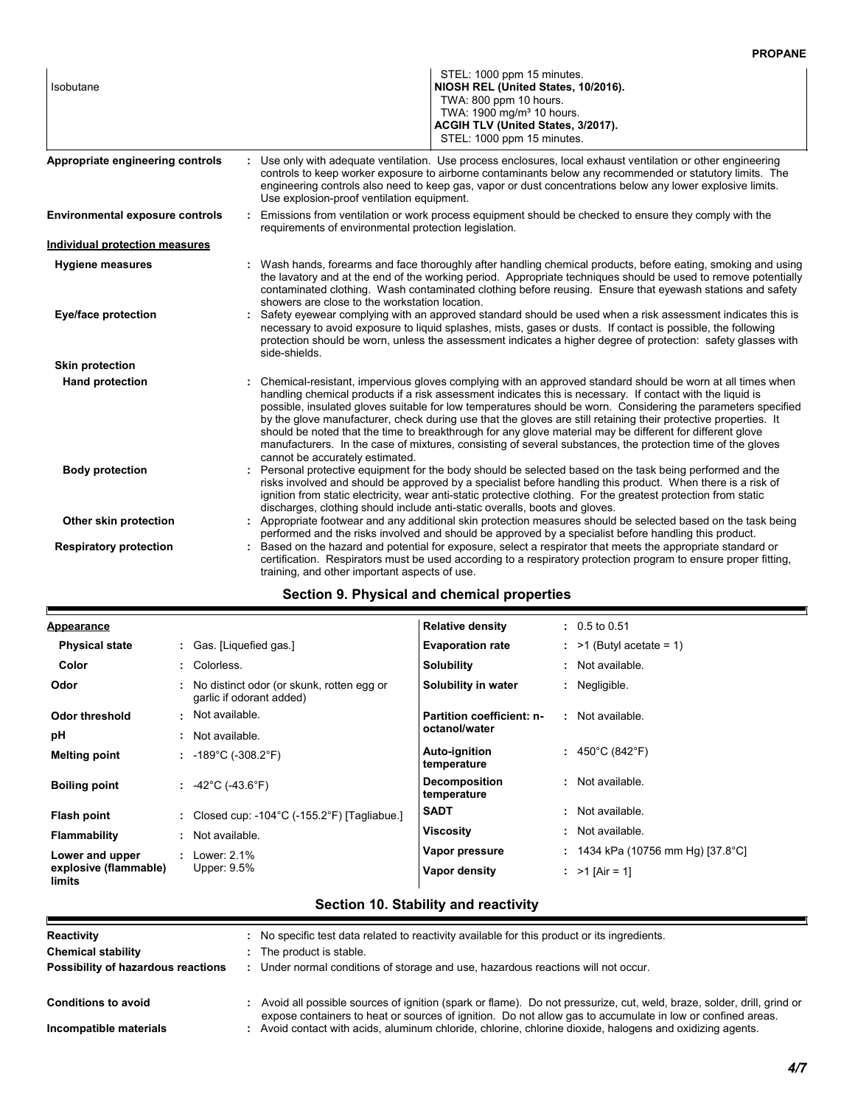| Isobutane                              | STEL: 1000 ppm 15 minutes.<br>NIOSH REL (United States, 10/2016).<br>TWA: 800 ppm 10 hours.<br>TWA: 1900 mg/m <sup>3</sup> 10 hours.<br>ACGIH TLV (United States, 3/2017).<br>STEL: 1000 ppm 15 minutes.                                                                                                                                                                                                                                                                                                                                                                                                                                                                                                                    |
|----------------------------------------|-----------------------------------------------------------------------------------------------------------------------------------------------------------------------------------------------------------------------------------------------------------------------------------------------------------------------------------------------------------------------------------------------------------------------------------------------------------------------------------------------------------------------------------------------------------------------------------------------------------------------------------------------------------------------------------------------------------------------------|
| Appropriate engineering controls       | Use only with adequate ventilation. Use process enclosures, local exhaust ventilation or other engineering<br>controls to keep worker exposure to airborne contaminants below any recommended or statutory limits. The<br>engineering controls also need to keep gas, vapor or dust concentrations below any lower explosive limits.<br>Use explosion-proof ventilation equipment.                                                                                                                                                                                                                                                                                                                                          |
| <b>Environmental exposure controls</b> | Emissions from ventilation or work process equipment should be checked to ensure they comply with the<br>requirements of environmental protection legislation.                                                                                                                                                                                                                                                                                                                                                                                                                                                                                                                                                              |
| Individual protection measures         |                                                                                                                                                                                                                                                                                                                                                                                                                                                                                                                                                                                                                                                                                                                             |
| <b>Hygiene measures</b>                | Wash hands, forearms and face thoroughly after handling chemical products, before eating, smoking and using<br>the lavatory and at the end of the working period. Appropriate techniques should be used to remove potentially<br>contaminated clothing. Wash contaminated clothing before reusing. Ensure that eyewash stations and safety<br>showers are close to the workstation location.                                                                                                                                                                                                                                                                                                                                |
| Eye/face protection                    | Safety eyewear complying with an approved standard should be used when a risk assessment indicates this is<br>necessary to avoid exposure to liquid splashes, mists, gases or dusts. If contact is possible, the following<br>protection should be worn, unless the assessment indicates a higher degree of protection: safety glasses with<br>side-shields.                                                                                                                                                                                                                                                                                                                                                                |
| <b>Skin protection</b>                 |                                                                                                                                                                                                                                                                                                                                                                                                                                                                                                                                                                                                                                                                                                                             |
| <b>Hand protection</b>                 | Chemical-resistant, impervious gloves complying with an approved standard should be worn at all times when<br>handling chemical products if a risk assessment indicates this is necessary. If contact with the liquid is<br>possible, insulated gloves suitable for low temperatures should be worn. Considering the parameters specified<br>by the glove manufacturer, check during use that the gloves are still retaining their protective properties. It<br>should be noted that the time to breakthrough for any glove material may be different for different glove<br>manufacturers. In the case of mixtures, consisting of several substances, the protection time of the gloves<br>cannot be accurately estimated. |
| <b>Body protection</b>                 | Personal protective equipment for the body should be selected based on the task being performed and the<br>risks involved and should be approved by a specialist before handling this product. When there is a risk of<br>ignition from static electricity, wear anti-static protective clothing. For the greatest protection from static<br>discharges, clothing should include anti-static overalls, boots and gloves.                                                                                                                                                                                                                                                                                                    |
| Other skin protection                  | : Appropriate footwear and any additional skin protection measures should be selected based on the task being<br>performed and the risks involved and should be approved by a specialist before handling this product.                                                                                                                                                                                                                                                                                                                                                                                                                                                                                                      |
| <b>Respiratory protection</b>          | Based on the hazard and potential for exposure, select a respirator that meets the appropriate standard or<br>certification. Respirators must be used according to a respiratory protection program to ensure proper fitting,<br>training, and other important aspects of use.                                                                                                                                                                                                                                                                                                                                                                                                                                              |

# **Section 9. Physical and chemical properties**

Г

| <b>Appearance</b>                                  |    |                                                                       | <b>Relative density</b>             | $: 0.5 \text{ to } 0.51$             |
|----------------------------------------------------|----|-----------------------------------------------------------------------|-------------------------------------|--------------------------------------|
| <b>Physical state</b>                              |    | : Gas. [Liquefied gas.]                                               | <b>Evaporation rate</b>             | $:$ >1 (Butyl acetate = 1)           |
| Color                                              |    | : Colorless.                                                          | <b>Solubility</b>                   | : Not available.                     |
| Odor                                               |    | No distinct odor (or skunk, rotten egg or<br>garlic if odorant added) | Solubility in water                 | : Negligible.                        |
| Odor threshold                                     | ÷. | Not available.                                                        | <b>Partition coefficient: n-</b>    | : Not available.                     |
| рH                                                 |    | Not available.                                                        | octanol/water                       |                                      |
| <b>Melting point</b>                               |    | : $-189^{\circ}$ C ( $-308.2^{\circ}$ F)                              | <b>Auto-ignition</b><br>temperature | : $450^{\circ}$ C (842 $^{\circ}$ F) |
| <b>Boiling point</b>                               |    | : $-42^{\circ}$ C ( $-43.6^{\circ}$ F)                                | <b>Decomposition</b><br>temperature | : Not available.                     |
| Flash point                                        |    | : Closed cup: -104 $^{\circ}$ C (-155.2 $^{\circ}$ F) [Tagliabue.]    | <b>SADT</b>                         | : Not available.                     |
| <b>Flammability</b>                                | ÷. | Not available.                                                        | Viscosity                           | : Not available.                     |
| Lower and upper<br>explosive (flammable)<br>limits |    | : Lower $2.1\%$<br>Upper: $9.5%$                                      | Vapor pressure                      | : 1434 kPa (10756 mm Hg) [37.8°C]    |
|                                                    |    |                                                                       | Vapor density                       | : $>1$ [Air = 1]                     |

| Reactivity                         | : No specific test data related to reactivity available for this product or its ingredients.                            |
|------------------------------------|-------------------------------------------------------------------------------------------------------------------------|
| <b>Chemical stability</b>          | : The product is stable.                                                                                                |
| Possibility of hazardous reactions | Under normal conditions of storage and use, hazardous reactions will not occur.                                         |
|                                    |                                                                                                                         |
| <b>Conditions to avoid</b>         | : Avoid all possible sources of ignition (spark or flame). Do not pressurize, cut, weld, braze, solder, drill, grind or |
|                                    | expose containers to heat or sources of ignition. Do not allow gas to accumulate in low or confined areas.              |
| Incompatible materials             | : Avoid contact with acids, aluminum chloride, chlorine, chlorine dioxide, halogens and oxidizing agents.               |
|                                    |                                                                                                                         |

# **Section 10. Stability and reactivity**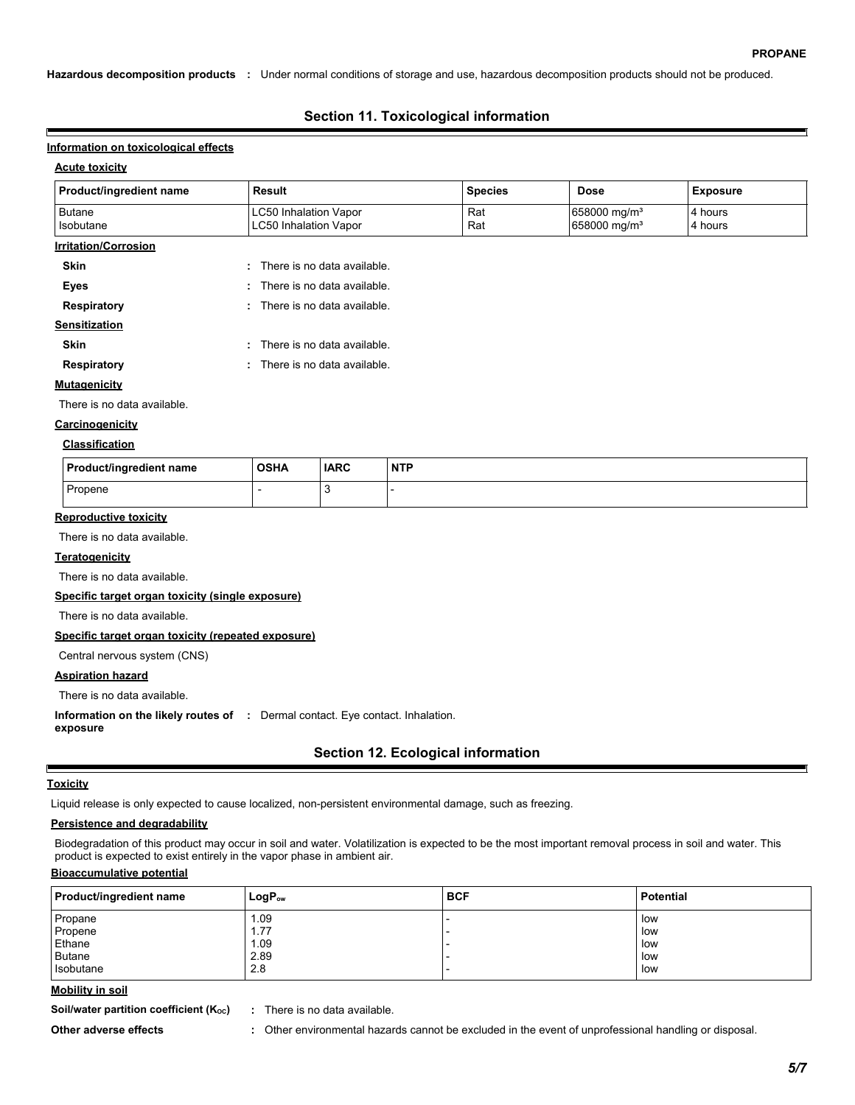**Hazardous decomposition products :** Under normal conditions of storage and use, hazardous decomposition products should not be produced.

# **Section 11. Toxicological information**

#### **Information on toxicological effects**

### **Acute toxicity**

| Product/ingredient name     | <b>Result</b>                                                | <b>Species</b> | <b>Dose</b>                                          | <b>Exposure</b>    |
|-----------------------------|--------------------------------------------------------------|----------------|------------------------------------------------------|--------------------|
| <b>Butane</b><br>Isobutane  | <b>LC50 Inhalation Vapor</b><br><b>LC50 Inhalation Vapor</b> | Rat<br>Rat     | 658000 mg/m <sup>3</sup><br>658000 mg/m <sup>3</sup> | 4 hours<br>4 hours |
| <b>Irritation/Corrosion</b> |                                                              |                |                                                      |                    |
| Skin                        | : There is no data available.                                |                |                                                      |                    |
| Eyes                        | There is no data available.<br>÷                             |                |                                                      |                    |
| Respiratory                 | : There is no data available.                                |                |                                                      |                    |
| Sensitization               |                                                              |                |                                                      |                    |
| <b>Skin</b>                 | : There is no data available.                                |                |                                                      |                    |
| Respiratory                 | : There is no data available.                                |                |                                                      |                    |
| <b>Mutagenicity</b>         |                                                              |                |                                                      |                    |
| There is no data available. |                                                              |                |                                                      |                    |
| Carcinogenicity             |                                                              |                |                                                      |                    |

#### **Classification**

| <b>Product/ingredient name</b> | <b>OSHA</b> | <b>IARC</b> | <b>NTP</b> |
|--------------------------------|-------------|-------------|------------|
| Propene                        |             |             |            |

#### **Reproductive toxicity**

There is no data available.

#### **Teratogenicity**

There is no data available.

**Specific target organ toxicity (single exposure)**

There is no data available.

#### **Specific target organ toxicity (repeated exposure)**

Central nervous system (CNS)

#### **Aspiration hazard**

There is no data available.

**Information on the likely routes of :** Dermal contact. Eye contact. Inhalation.

**exposure**

# **Section 12. Ecological information**

#### **Toxicity**

Е

Liquid release is only expected to cause localized, non-persistent environmental damage, such as freezing.

# **Persistence and degradability**

Biodegradation of this product may occur in soil and water. Volatilization is expected to be the most important removal process in soil and water. This product is expected to exist entirely in the vapor phase in ambient air.

# **Bioaccumulative potential**

| <b>Product/ingredient name</b> | $LogP_{ow}$ | <b>BCF</b> | Potential |
|--------------------------------|-------------|------------|-----------|
| Propane                        | 1.09        |            | low       |
| Propene                        | 1.77        |            | low       |
| Ethane                         | 1.09        |            | low       |
| <b>Butane</b>                  | 2.89        |            | low       |
| Isobutane                      | 2.8         |            | low       |

#### **Mobility in soil**

**Soil/water partition coefficient (K<sub>oc</sub>) :** There is no data available.

- 
- **Other adverse effects :** Other environmental hazards cannot be excluded in the event of unprofessional handling or disposal.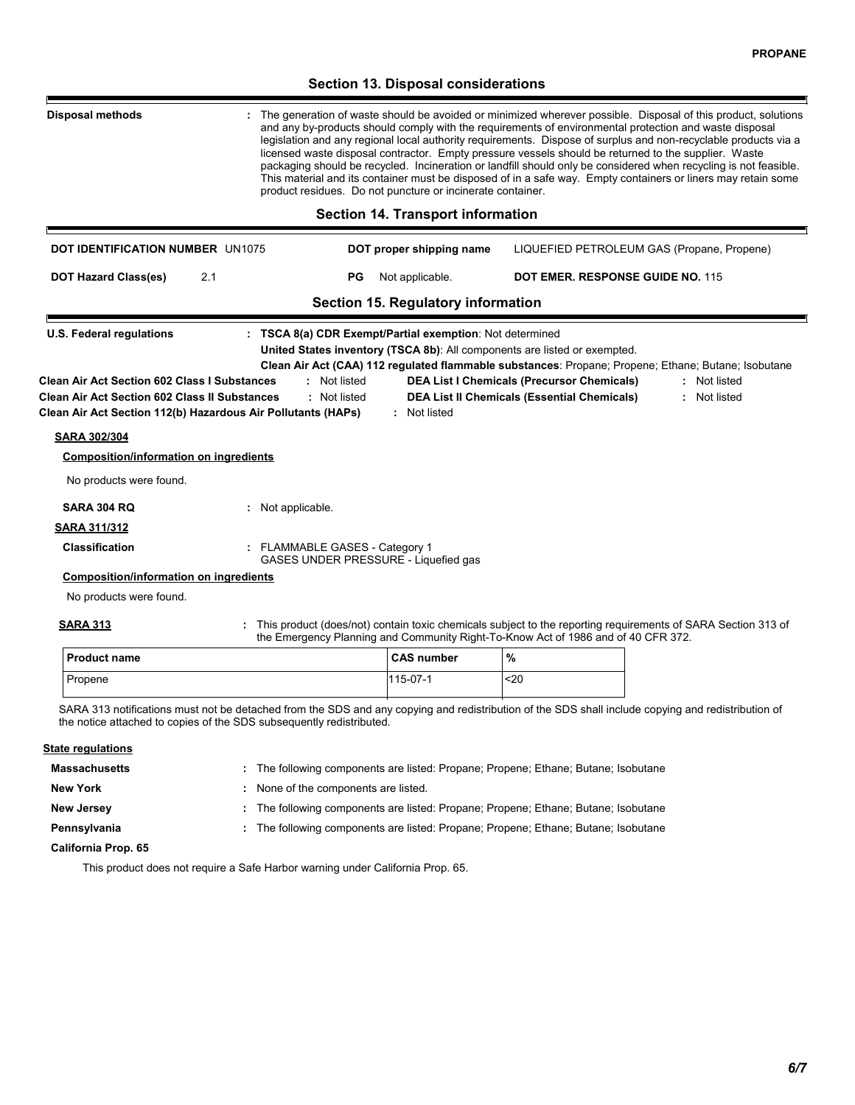# **Section 13. Disposal considerations** The generation of waste should be avoided or minimized wherever possible. Disposal of this product, solutions and any by-products should comply with the requirements of environmental protection and waste disposal legislation and any regional local authority requirements. Dispose of surplus and non-recyclable products via a licensed waste disposal contractor. Empty pressure vessels should be returned to the supplier. Waste packaging should be recycled. Incineration or landfill should only be considered when recycling is not feasible. This material and its container must be disposed of in a safe way. Empty containers or liners may retain some product residues. Do not puncture or incinerate container. **Disposal methods : Section 14. Transport information** LIQUEFIED PETROLEUM GAS (Propane, Propene) 2.1 **DOT IDENTIFICATION NUMBER** UN1075 **DOT proper shipping name DOT Hazard Class(es) PG** Not applicable. **DOT EMER. RESPONSE GUIDE NO.** 115 **Section 15. Regulatory information U.S. Federal regulations Clean Air Act (CAA) 112 regulated flammable substances**: Propane; Propene; Ethane; Butane; Isobutane **: TSCA 8(a) CDR Exempt/Partial exemption**: Not determined **SARA 313 Clean Air Act Section 112(b) Hazardous Air Pollutants (HAPs) :** Not listed **Clean Air Act Section 602 Class I Substances :** Not listed **Clean Air Act Section 602 Class II Substances :** Not listed **DEA List I Chemicals (Precursor Chemicals) :** Not listed **DEA List II Chemicals (Essential Chemicals) :** Not listed **United States inventory (TSCA 8b)**: All components are listed or exempted. **SARA 302/304 SARA 304 RQ :** Not applicable. No products were found. **Composition/information on ingredients SARA 311/312 Classification :** FLAMMABLE GASES - Category 1 GASES UNDER PRESSURE - Liquefied gas **Composition/information on ingredients** This product (does/not) contain toxic chemicals subject to the reporting requirements of SARA Section 313 of the Emergency Planning and Community Right-To-Know Act of 1986 and of 40 CFR 372. **:** No products were found.

| <b>Product name</b> | <b>CAS number</b> | %   |
|---------------------|-------------------|-----|
| Propene             | 115-07-1          | <20 |

SARA 313 notifications must not be detached from the SDS and any copying and redistribution of the SDS shall include copying and redistribution of the notice attached to copies of the SDS subsequently redistributed.

#### **State regulations**

| Massachusetts       | : The following components are listed: Propane; Propene; Ethane; Butane; Isobutane |
|---------------------|------------------------------------------------------------------------------------|
| <b>New York</b>     | None of the components are listed.                                                 |
| <b>New Jersey</b>   | : The following components are listed: Propane; Propene; Ethane; Butane; Isobutane |
| Pennsylvania        | : The following components are listed: Propane; Propene; Ethane; Butane; Isobutane |
| California Prop. 65 |                                                                                    |

This product does not require a Safe Harbor warning under California Prop. 65.